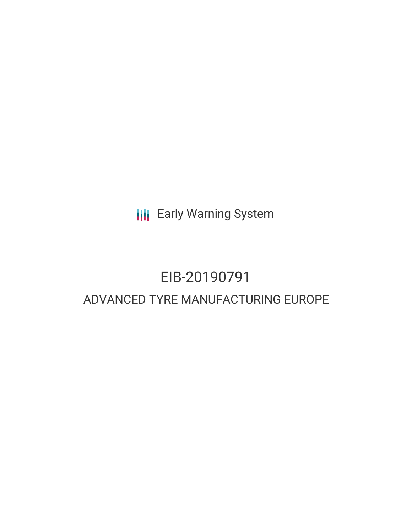**III** Early Warning System

# EIB-20190791 ADVANCED TYRE MANUFACTURING EUROPE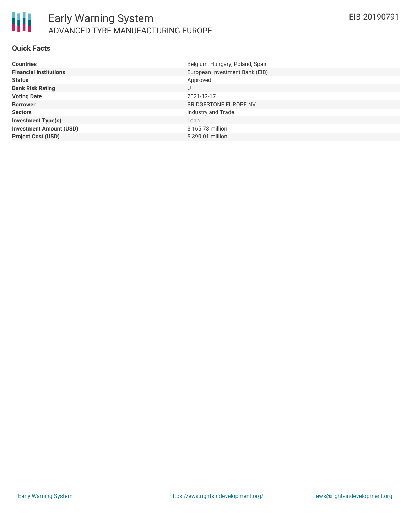

#### **Quick Facts**

| <b>Countries</b>               | Belgium, Hungary, Poland, Spain |
|--------------------------------|---------------------------------|
| <b>Financial Institutions</b>  | European Investment Bank (EIB)  |
| <b>Status</b>                  | Approved                        |
| <b>Bank Risk Rating</b>        | U                               |
| <b>Voting Date</b>             | 2021-12-17                      |
| <b>Borrower</b>                | BRIDGESTONE EUROPE NV           |
| <b>Sectors</b>                 | Industry and Trade              |
| <b>Investment Type(s)</b>      | Loan                            |
| <b>Investment Amount (USD)</b> | \$165.73 million                |
| <b>Project Cost (USD)</b>      | \$390.01 million                |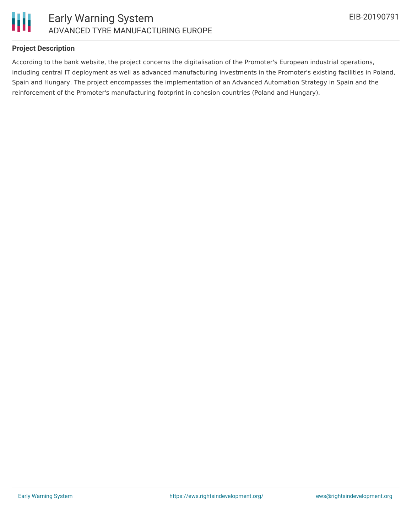

#### **Project Description**

According to the bank website, the project concerns the digitalisation of the Promoter's European industrial operations, including central IT deployment as well as advanced manufacturing investments in the Promoter's existing facilities in Poland, Spain and Hungary. The project encompasses the implementation of an Advanced Automation Strategy in Spain and the reinforcement of the Promoter's manufacturing footprint in cohesion countries (Poland and Hungary).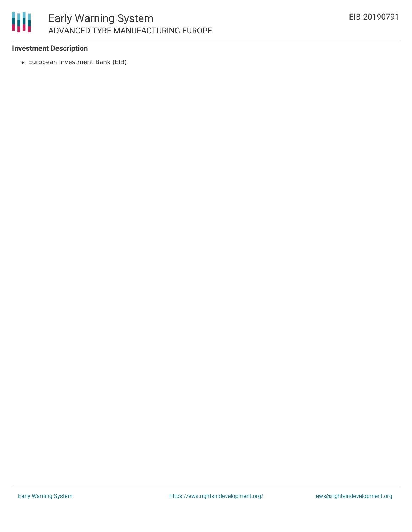

#### **Investment Description**

European Investment Bank (EIB)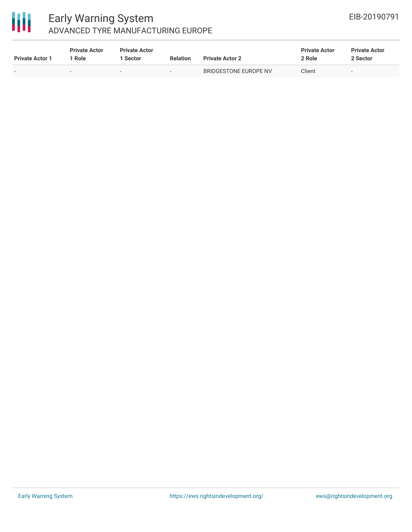

### Early Warning System ADVANCED TYRE MANUFACTURING EUROPE

| <b>Private Actor 1</b> | <b>Private Actor</b><br>Role | <b>Private Actor</b><br>l Sector | <b>Relation</b>          | <b>Private Actor 2</b> | <b>Private Actor</b><br>2 Role | <b>Private Actor</b><br>2 Sector |
|------------------------|------------------------------|----------------------------------|--------------------------|------------------------|--------------------------------|----------------------------------|
|                        | -                            |                                  | $\overline{\phantom{a}}$ | BRIDGESTONE EUROPE NV  | Client                         |                                  |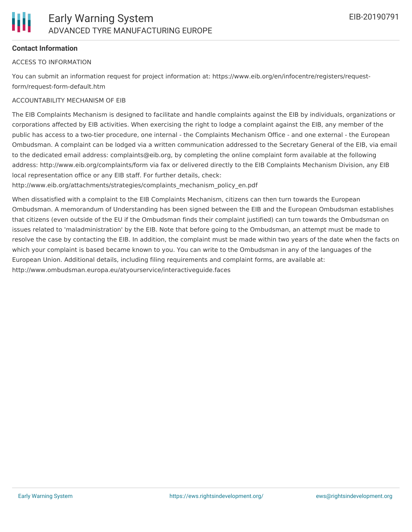#### **Contact Information**

#### ACCESS TO INFORMATION

You can submit an information request for project information at: https://www.eib.org/en/infocentre/registers/requestform/request-form-default.htm

#### ACCOUNTABILITY MECHANISM OF EIB

The EIB Complaints Mechanism is designed to facilitate and handle complaints against the EIB by individuals, organizations or corporations affected by EIB activities. When exercising the right to lodge a complaint against the EIB, any member of the public has access to a two-tier procedure, one internal - the Complaints Mechanism Office - and one external - the European Ombudsman. A complaint can be lodged via a written communication addressed to the Secretary General of the EIB, via email to the dedicated email address: complaints@eib.org, by completing the online complaint form available at the following address: http://www.eib.org/complaints/form via fax or delivered directly to the EIB Complaints Mechanism Division, any EIB local representation office or any EIB staff. For further details, check:

http://www.eib.org/attachments/strategies/complaints\_mechanism\_policy\_en.pdf

When dissatisfied with a complaint to the EIB Complaints Mechanism, citizens can then turn towards the European Ombudsman. A memorandum of Understanding has been signed between the EIB and the European Ombudsman establishes that citizens (even outside of the EU if the Ombudsman finds their complaint justified) can turn towards the Ombudsman on issues related to 'maladministration' by the EIB. Note that before going to the Ombudsman, an attempt must be made to resolve the case by contacting the EIB. In addition, the complaint must be made within two years of the date when the facts on which your complaint is based became known to you. You can write to the Ombudsman in any of the languages of the European Union. Additional details, including filing requirements and complaint forms, are available at: http://www.ombudsman.europa.eu/atyourservice/interactiveguide.faces